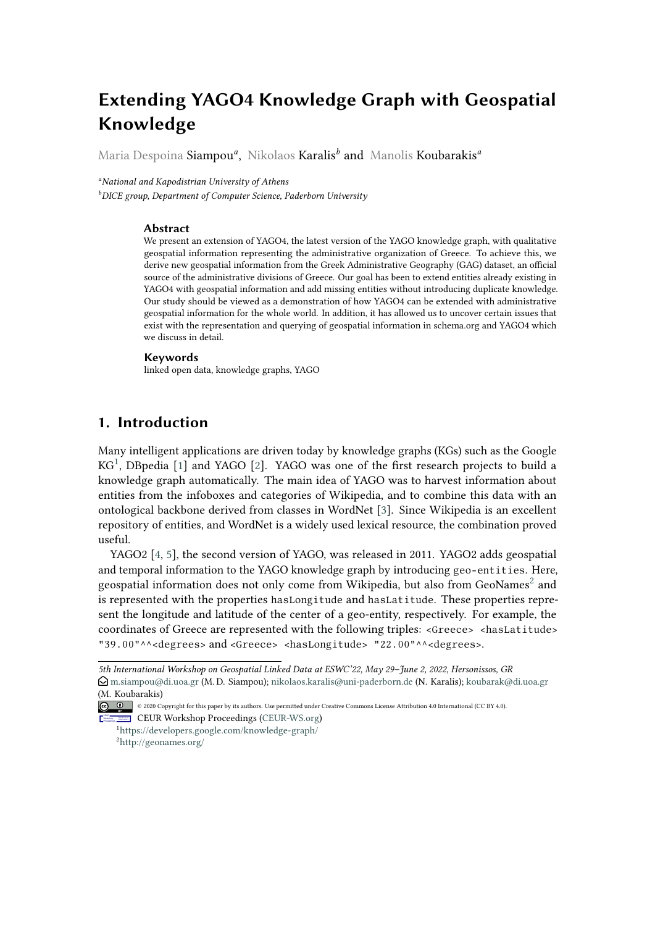# **Extending YAGO4 Knowledge Graph with Geospatial Knowledge**

Maria Despoina Siampou*<sup>a</sup>* , Nikolaos Karalis*<sup>b</sup>* and Manolis Koubarakis*<sup>a</sup>*

*<sup>a</sup>National and Kapodistrian University of Athens*

*<sup>b</sup>DICE group, Department of Computer Science, Paderborn University*

### **Abstract**

We present an extension of YAGO4, the latest version of the YAGO knowledge graph, with qualitative geospatial information representing the administrative organization of Greece. To achieve this, we derive new geospatial information from the Greek Administrative Geography (GAG) dataset, an official source of the administrative divisions of Greece. Our goal has been to extend entities already existing in YAGO4 with geospatial information and add missing entities without introducing duplicate knowledge. Our study should be viewed as a demonstration of how YAGO4 can be extended with administrative geospatial information for the whole world. In addition, it has allowed us to uncover certain issues that exist with the representation and querying of geospatial information in schema.org and YAGO4 which we discuss in detail.

#### **Keywords**

linked open data, knowledge graphs, YAGO

### **1. Introduction**

Many intelligent applications are driven today by knowledge graphs (KGs) such as the Google KG<sup>[1](#page-0-0)</sup>, DBpedia [\[1\]](#page-11-0) and YAGO [\[2\]](#page-11-1). YAGO was one of the first research projects to build a knowledge graph automatically. The main idea of YAGO was to harvest information about entities from the infoboxes and categories of Wikipedia, and to combine this data with an ontological backbone derived from classes in WordNet [\[3\]](#page-11-2). Since Wikipedia is an excellent repository of entities, and WordNet is a widely used lexical resource, the combination proved useful.

YAGO2 [\[4,](#page-11-3) [5\]](#page-11-4), the second version of YAGO, was released in 2011. YAGO2 adds geospatial and temporal information to the YAGO knowledge graph by introducing geo-entities. Here, geospatial information does not only come from Wikipedia, but also from GeoNames $^2$  $^2$  and is represented with the properties hasLongitude and hasLatitude. These properties represent the longitude and latitude of the center of a geo-entity, respectively. For example, the coordinates of Greece are represented with the following triples: <Greece> <hasLatitude> "39.00"^^<degrees> and <Greece> <hasLongitude> "22.00"^^<degrees>.

*<sup>5</sup>th International Workshop on Geospatial Linked Data at ESWC'22, May 29–June 2, 2022, Hersonissos, GR*

 $\Theta$ [m.siampou@di.uoa.gr](mailto:m.siampou@di.uoa.gr) (M. D. Siampou); [nikolaos.karalis@uni-paderborn.de](mailto:nikolaos.karalis@uni-paderborn.de) (N. Karalis); [koubarak@di.uoa.gr](mailto:koubarak@di.uoa.gr) (M. Koubarakis)

<sup>© 2020</sup> Copyright for this paper by its authors. Use permitted under Creative Commons License Attribution 4.0 International (CC BY 4.0). CEUR Workshop [Proceedings](http://ceur-ws.org) [\(CEUR-WS.org\)](http://ceur-ws.org)

<span id="page-0-1"></span><span id="page-0-0"></span><sup>1</sup><https://developers.google.com/knowledge-graph/> <sup>2</sup><http://geonames.org/>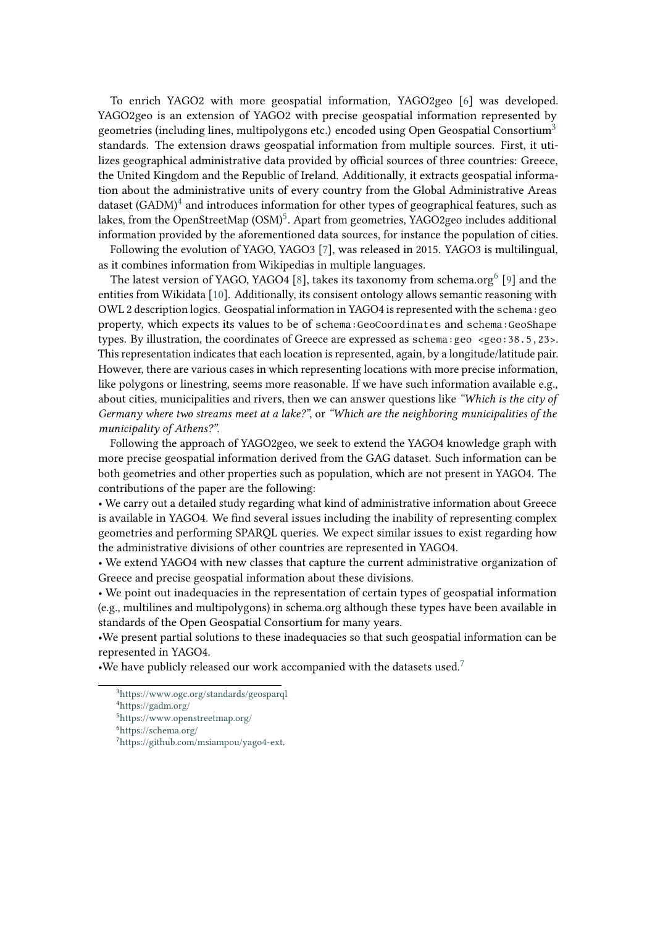To enrich YAGO2 with more geospatial information, YAGO2geo [\[6\]](#page-11-5) was developed. YAGO2geo is an extension of YAGO2 with precise geospatial information represented by geometries (including lines, multipolygons etc.) encoded using Open Geospatial Consortium<sup>[3](#page-1-0)</sup> standards. The extension draws geospatial information from multiple sources. First, it utilizes geographical administrative data provided by official sources of three countries: Greece, the United Kingdom and the Republic of Ireland. Additionally, it extracts geospatial information about the administrative units of every country from the Global Administrative Areas dataset (GADM) $^4$  $^4$  and introduces information for other types of geographical features, such as lakes, from the OpenStreetMap  $\left( \text{OSM} \right)^5$  $\left( \text{OSM} \right)^5$ . Apart from geometries, YAGO2geo includes additional information provided by the aforementioned data sources, for instance the population of cities.

Following the evolution of YAGO, YAGO3 [\[7\]](#page-11-6), was released in 2015. YAGO3 is multilingual, as it combines information from Wikipedias in multiple languages.

The latest version of YAGO, YAGO4 [\[8\]](#page-11-7), takes its taxonomy from schema.org $^6$  $^6$  [\[9\]](#page-11-8) and the entities from Wikidata [\[10\]](#page-11-9). Additionally, its consisent ontology allows semantic reasoning with OWL 2 description logics. Geospatial information in YAGO4 is represented with the schema:geo property, which expects its values to be of schema:GeoCoordinates and schema:GeoShape types. By illustration, the coordinates of Greece are expressed as schema: geo <geo:38.5,23>. This representation indicates that each location is represented, again, by a longitude/latitude pair. However, there are various cases in which representing locations with more precise information, like polygons or linestring, seems more reasonable. If we have such information available e.g., about cities, municipalities and rivers, then we can answer questions like *"Which is the city of Germany where two streams meet at a lake?"*, or *"Which are the neighboring municipalities of the municipality of Athens?"*.

Following the approach of YAGO2geo, we seek to extend the YAGO4 knowledge graph with more precise geospatial information derived from the GAG dataset. Such information can be both geometries and other properties such as population, which are not present in YAGO4. The contributions of the paper are the following:

• We carry out a detailed study regarding what kind of administrative information about Greece is available in YAGO4. We find several issues including the inability of representing complex geometries and performing SPARQL queries. We expect similar issues to exist regarding how the administrative divisions of other countries are represented in YAGO4.

• We extend YAGO4 with new classes that capture the current administrative organization of Greece and precise geospatial information about these divisions.

• We point out inadequacies in the representation of certain types of geospatial information (e.g., multilines and multipolygons) in schema.org although these types have been available in standards of the Open Geospatial Consortium for many years.

•We present partial solutions to these inadequacies so that such geospatial information can be represented in YAGO4.

•We have publicly released our work accompanied with the datasets used.<sup>[7](#page-1-4)</sup>

<span id="page-1-0"></span><sup>3</sup><https://www.ogc.org/standards/geosparql>

<span id="page-1-1"></span><sup>4</sup>[https://gadm.org/]( https://gadm.org/)

<span id="page-1-2"></span><sup>5</sup><https://www.openstreetmap.org/>

<span id="page-1-3"></span><sup>6</sup>[https://schema.org/]( https://schema.org/)

<span id="page-1-4"></span><sup>7</sup>[https://github.com/msiampou/yago4-ext.](https://github.com/msiampou/yago4-ext)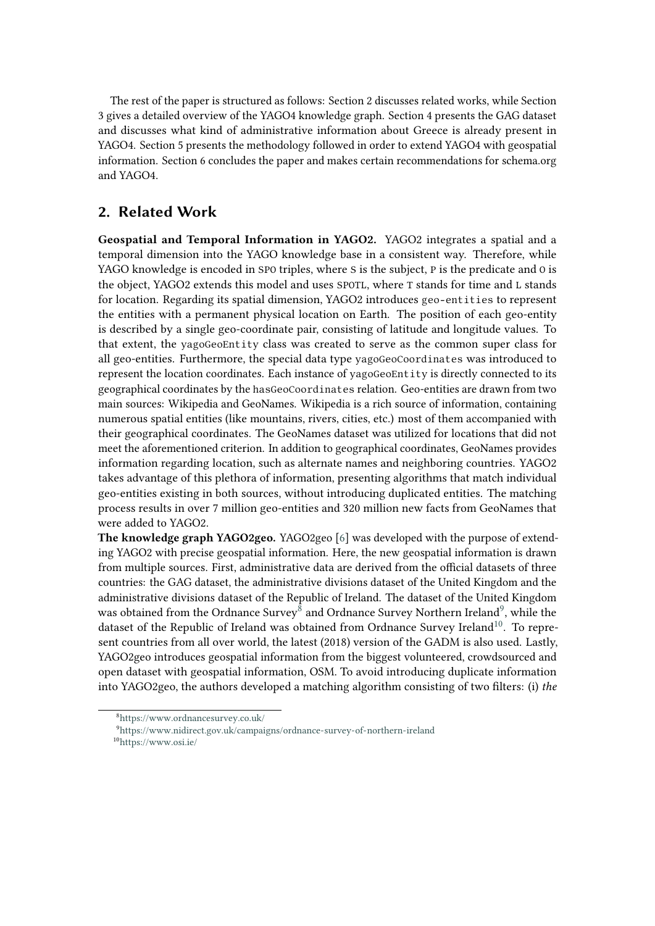The rest of the paper is structured as follows: Section 2 discusses related works, while Section 3 gives a detailed overview of the YAGO4 knowledge graph. Section 4 presents the GAG dataset and discusses what kind of administrative information about Greece is already present in YAGO4. Section 5 presents the methodology followed in order to extend YAGO4 with geospatial information. Section 6 concludes the paper and makes certain recommendations for schema.org and YAGO4.

# **2. Related Work**

**Geospatial and Temporal Information in YAGO2.** YAGO2 integrates a spatial and a temporal dimension into the YAGO knowledge base in a consistent way. Therefore, while YAGO knowledge is encoded in SPO triples, where S is the subject, P is the predicate and O is the object, YAGO2 extends this model and uses SPOTL, where T stands for time and L stands for location. Regarding its spatial dimension, YAGO2 introduces geo-entities to represent the entities with a permanent physical location on Earth. The position of each geo-entity is described by a single geo-coordinate pair, consisting of latitude and longitude values. To that extent, the yagoGeoEntity class was created to serve as the common super class for all geo-entities. Furthermore, the special data type yagoGeoCoordinates was introduced to represent the location coordinates. Each instance of yagoGeoEntity is directly connected to its geographical coordinates by the hasGeoCoordinates relation. Geo-entities are drawn from two main sources: Wikipedia and GeoNames. Wikipedia is a rich source of information, containing numerous spatial entities (like mountains, rivers, cities, etc.) most of them accompanied with their geographical coordinates. The GeoNames dataset was utilized for locations that did not meet the aforementioned criterion. In addition to geographical coordinates, GeoNames provides information regarding location, such as alternate names and neighboring countries. YAGO2 takes advantage of this plethora of information, presenting algorithms that match individual geo-entities existing in both sources, without introducing duplicated entities. The matching process results in over 7 million geo-entities and 320 million new facts from GeoNames that were added to YAGO2.

**The knowledge graph YAGO2geo.** YAGO2geo [\[6\]](#page-11-5) was developed with the purpose of extending YAGO2 with precise geospatial information. Here, the new geospatial information is drawn from multiple sources. First, administrative data are derived from the official datasets of three countries: the GAG dataset, the administrative divisions dataset of the United Kingdom and the administrative divisions dataset of the Republic of Ireland. The dataset of the United Kingdom was obtained from the Ordnance Survey $^8$  $^8$  and Ordnance Survey Northern Ireland $^9$  $^9$ , while the dataset of the Republic of Ireland was obtained from Ordnance Survey Ireland<sup>[10](#page-2-2)</sup>. To represent countries from all over world, the latest (2018) version of the GADM is also used. Lastly, YAGO2geo introduces geospatial information from the biggest volunteered, crowdsourced and open dataset with geospatial information, OSM. To avoid introducing duplicate information into YAGO2geo, the authors developed a matching algorithm consisting of two filters: (i) *the*

<span id="page-2-2"></span><sup>10</sup>[https://www.osi.ie/]( https://www.osi.ie/)

<span id="page-2-0"></span><sup>8</sup>[https://www.ordnancesurvey.co.uk/]( https://www.ordnancesurvey.co.uk/)

<span id="page-2-1"></span><sup>9</sup><https://www.nidirect.gov.uk/campaigns/ordnance-survey-of-northern-ireland>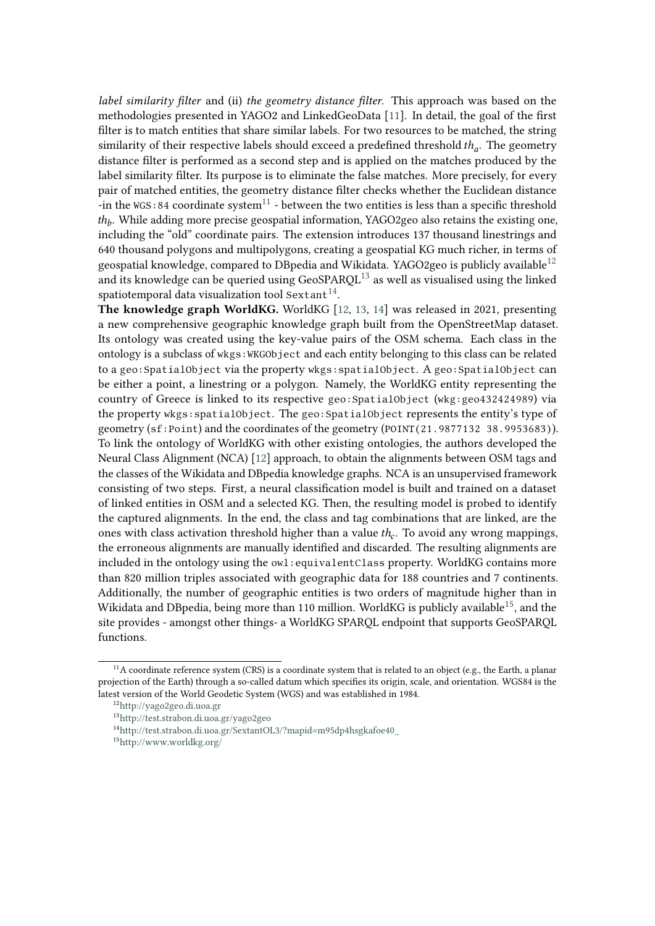*label similarity filter* and (ii) *the geometry distance filter*. This approach was based on the methodologies presented in YAGO2 and LinkedGeoData [\[11\]](#page-11-10). In detail, the goal of the first filter is to match entities that share similar labels. For two resources to be matched, the string similarity of their respective labels should exceed a predefined threshold  $th_a$ . The geometry distance filter is performed as a second step and is applied on the matches produced by the label similarity filter. Its purpose is to eliminate the false matches. More precisely, for every pair of matched entities, the geometry distance filter checks whether the Euclidean distance -in the WGS:84 coordinate system<sup>[11](#page-3-0)</sup> - between the two entities is less than a specific threshold  $th_b$ . While adding more precise geospatial information, YAGO2geo also retains the existing one, including the "old" coordinate pairs. The extension introduces 137 thousand linestrings and 640 thousand polygons and multipolygons, creating a geospatial KG much richer, in terms of geospatial knowledge, compared to DB pedia and Wikidata. YAGO2 geo is publicly available<sup>[12](#page-3-1)</sup> and its knowledge can be queried using GeoSPARQL<sup>[13](#page-3-2)</sup> as well as visualised using the linked spatiotemporal data visualization tool Sextant<sup>[14](#page-3-3)</sup>.

**The knowledge graph WorldKG.** WorldKG [\[12,](#page-11-11) [13,](#page-11-12) [14\]](#page-11-13) was released in 2021, presenting a new comprehensive geographic knowledge graph built from the OpenStreetMap dataset. Its ontology was created using the key-value pairs of the OSM schema. Each class in the ontology is a subclass of wkgs:WKGObject and each entity belonging to this class can be related to a geo:SpatialObject via the property wkgs:spatialObject. A geo:SpatialObject can be either a point, a linestring or a polygon. Namely, the WorldKG entity representing the country of Greece is linked to its respective geo:SpatialObject (wkg:geo432424989) via the property wkgs:spatialObject. The geo:SpatialObject represents the entity's type of geometry (sf:Point) and the coordinates of the geometry (POINT(21.9877132 38.9953683)). To link the ontology of WorldKG with other existing ontologies, the authors developed the Neural Class Alignment (NCA) [\[12\]](#page-11-11) approach, to obtain the alignments between OSM tags and the classes of the Wikidata and DBpedia knowledge graphs. NCA is an unsupervised framework consisting of two steps. First, a neural classification model is built and trained on a dataset of linked entities in OSM and a selected KG. Then, the resulting model is probed to identify the captured alignments. In the end, the class and tag combinations that are linked, are the ones with class activation threshold higher than a value  $th_c$ . To avoid any wrong mappings, the erroneous alignments are manually identified and discarded. The resulting alignments are included in the ontology using the owl:equivalentClass property. WorldKG contains more than 820 million triples associated with geographic data for 188 countries and 7 continents. Additionally, the number of geographic entities is two orders of magnitude higher than in Wikidata and DB pedia, being more than 110 million. World KG is publicly available<sup>[15](#page-3-4)</sup>, and the site provides - amongst other things- a WorldKG SPARQL endpoint that supports GeoSPARQL functions.

<span id="page-3-0"></span><sup>&</sup>lt;sup>11</sup>A coordinate reference system (CRS) is a coordinate system that is related to an object (e.g., the Earth, a planar projection of the Earth) through a so-called datum which specifies its origin, scale, and orientation. WGS84 is the latest version of the World Geodetic System (WGS) and was established in 1984.

<span id="page-3-1"></span><sup>12</sup><http://yago2geo.di.uoa.gr>

<span id="page-3-2"></span><sup>13</sup><http://test.strabon.di.uoa.gr/yago2geo>

<span id="page-3-3"></span><sup>14</sup>[http://test.strabon.di.uoa.gr/SextantOL3/?mapid=m95dp4hsgkafoe40\\_](http://test.strabon.di.uoa.gr/SextantOL3/?mapid=m95dp4hsgkafoe40_)

<span id="page-3-4"></span><sup>15</sup><http://www.worldkg.org/>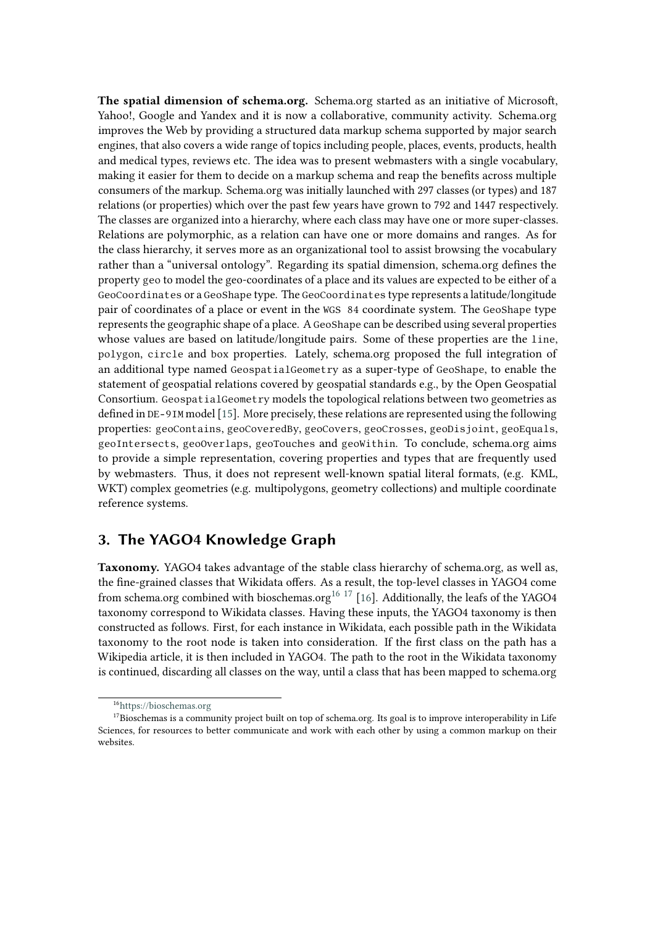**The spatial dimension of schema.org.** Schema.org started as an initiative of Microsoft, Yahoo!, Google and Yandex and it is now a collaborative, community activity. Schema.org improves the Web by providing a structured data markup schema supported by major search engines, that also covers a wide range of topics including people, places, events, products, health and medical types, reviews etc. The idea was to present webmasters with a single vocabulary, making it easier for them to decide on a markup schema and reap the benefits across multiple consumers of the markup. Schema.org was initially launched with 297 classes (or types) and 187 relations (or properties) which over the past few years have grown to 792 and 1447 respectively. The classes are organized into a hierarchy, where each class may have one or more super-classes. Relations are polymorphic, as a relation can have one or more domains and ranges. As for the class hierarchy, it serves more as an organizational tool to assist browsing the vocabulary rather than a "universal ontology". Regarding its spatial dimension, schema.org defines the property geo to model the geo-coordinates of a place and its values are expected to be either of a GeoCoordinates or a GeoShape type. The GeoCoordinates type represents a latitude/longitude pair of coordinates of a place or event in the WGS 84 coordinate system. The GeoShape type represents the geographic shape of a place. A GeoShape can be described using several properties whose values are based on latitude/longitude pairs. Some of these properties are the line, polygon, circle and box properties. Lately, schema.org proposed the full integration of an additional type named GeospatialGeometry as a super-type of GeoShape, to enable the statement of geospatial relations covered by geospatial standards e.g., by the Open Geospatial Consortium. GeospatialGeometry models the topological relations between two geometries as defined in DE-9IM model [\[15\]](#page-11-14). More precisely, these relations are represented using the following properties: geoContains, geoCoveredBy, geoCovers, geoCrosses, geoDisjoint, geoEquals, geoIntersects, geoOverlaps, geoTouches and geoWithin. To conclude, schema.org aims to provide a simple representation, covering properties and types that are frequently used by webmasters. Thus, it does not represent well-known spatial literal formats, (e.g. KML, WKT) complex geometries (e.g. multipolygons, geometry collections) and multiple coordinate reference systems.

## **3. The YAGO4 Knowledge Graph**

**Taxonomy.** YAGO4 takes advantage of the stable class hierarchy of schema.org, as well as, the fine-grained classes that Wikidata offers. As a result, the top-level classes in YAGO4 come from schema.org combined with bioschemas.org<sup>[16](#page-4-0) [17](#page-4-1)</sup> [\[16\]](#page-11-15). Additionally, the leafs of the YAGO4 taxonomy correspond to Wikidata classes. Having these inputs, the YAGO4 taxonomy is then constructed as follows. First, for each instance in Wikidata, each possible path in the Wikidata taxonomy to the root node is taken into consideration. If the first class on the path has a Wikipedia article, it is then included in YAGO4. The path to the root in the Wikidata taxonomy is continued, discarding all classes on the way, until a class that has been mapped to schema.org

<span id="page-4-1"></span><span id="page-4-0"></span><sup>16</sup><https://bioschemas.org>

<sup>&</sup>lt;sup>17</sup>Bioschemas is a community project built on top of schema.org. Its goal is to improve interoperability in Life Sciences, for resources to better communicate and work with each other by using a common markup on their websites.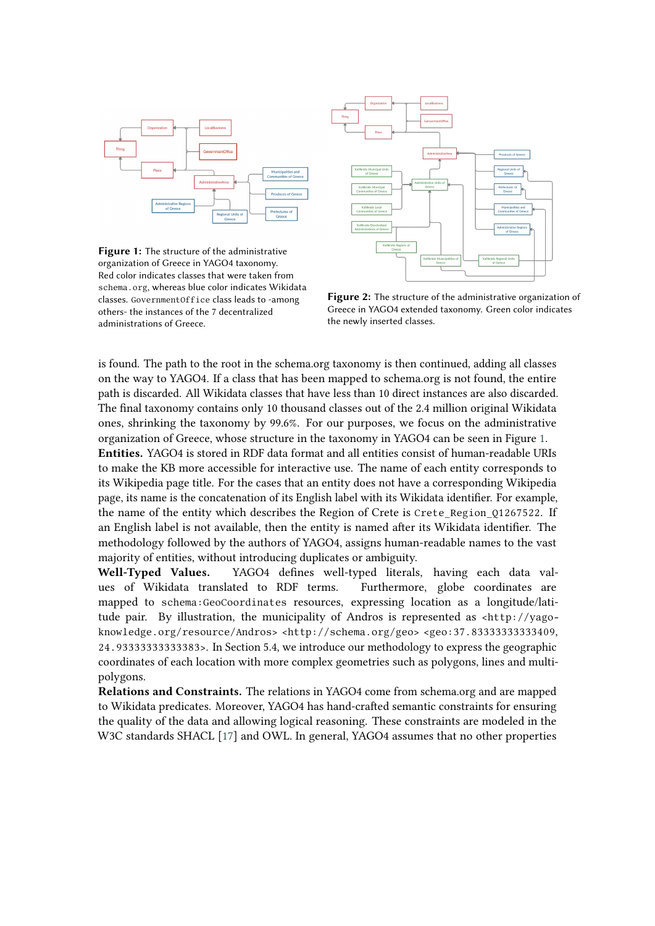<span id="page-5-0"></span>

**Figure 1:** The structure of the administrative organization of Greece in YAGO4 taxonomy. Red color indicates classes that were taken from schema.org, whereas blue color indicates Wikidata classes. GovernmentOffice class leads to -among others- the instances of the 7 decentralized administrations of Greece.



**Figure 2:** The structure of the administrative organization of Greece in YAGO4 extended taxonomy. Green color indicates the newly inserted classes.

is found. The path to the root in the schema.org taxonomy is then continued, adding all classes on the way to YAGO4. If a class that has been mapped to schema.org is not found, the entire path is discarded. All Wikidata classes that have less than 10 direct instances are also discarded. The final taxonomy contains only 10 thousand classes out of the 2.4 million original Wikidata ones, shrinking the taxonomy by 99.6%. For our purposes, we focus on the administrative organization of Greece, whose structure in the taxonomy in YAGO4 can be seen in Figure [1.](#page-5-0) **Entities.** YAGO4 is stored in RDF data format and all entities consist of human-readable URIs to make the KB more accessible for interactive use. The name of each entity corresponds to its Wikipedia page title. For the cases that an entity does not have a corresponding Wikipedia page, its name is the concatenation of its English label with its Wikidata identifier. For example, the name of the entity which describes the Region of Crete is Crete\_Region\_Q1267522. If an English label is not available, then the entity is named after its Wikidata identifier. The methodology followed by the authors of YAGO4, assigns human-readable names to the vast majority of entities, without introducing duplicates or ambiguity.

**Well-Typed Values.** YAGO4 defines well-typed literals, having each data values of Wikidata translated to RDF terms. Furthermore, globe coordinates are mapped to schema:GeoCoordinates resources, expressing location as a longitude/latitude pair. By illustration, the municipality of Andros is represented as <http://yagoknowledge.org/resource/Andros> <http://schema.org/geo> <geo:37.83333333333409, 24.93333333333383>. In Section 5.4, we introduce our methodology to express the geographic coordinates of each location with more complex geometries such as polygons, lines and multipolygons.

**Relations and Constraints.** The relations in YAGO4 come from schema.org and are mapped to Wikidata predicates. Moreover, YAGO4 has hand-crafted semantic constraints for ensuring the quality of the data and allowing logical reasoning. These constraints are modeled in the W3C standards SHACL [\[17\]](#page-11-16) and OWL. In general, YAGO4 assumes that no other properties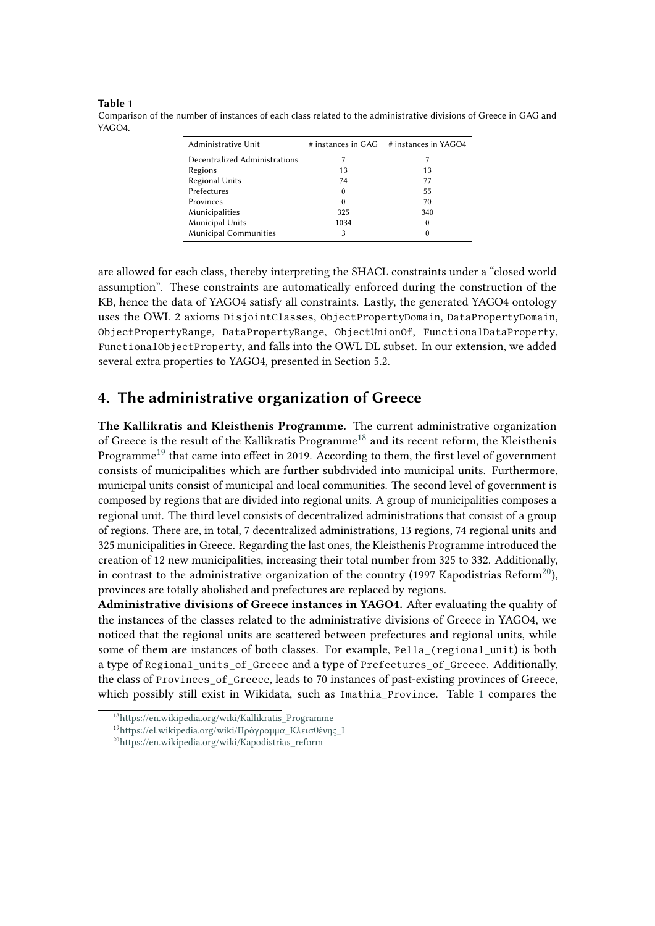#### <span id="page-6-3"></span>**Table 1**

Comparison of the number of instances of each class related to the administrative divisions of Greece in GAG and YAGO<sub>4</sub>

| Administrative Unit           |        | $#$ instances in GAG $#$ instances in YAGO4 |
|-------------------------------|--------|---------------------------------------------|
| Decentralized Administrations |        |                                             |
| Regions                       | 13     | 13                                          |
| Regional Units                | 74     | 77                                          |
| Prefectures                   | $^{0}$ | 55                                          |
| Provinces                     | $^{0}$ | 70                                          |
| Municipalities                | 325    | 340                                         |
| Municipal Units               | 1034   | 0                                           |
| <b>Municipal Communities</b>  | 3      | 0                                           |

are allowed for each class, thereby interpreting the SHACL constraints under a "closed world assumption". These constraints are automatically enforced during the construction of the KB, hence the data of YAGO4 satisfy all constraints. Lastly, the generated YAGO4 ontology uses the OWL 2 axioms DisjointClasses, ObjectPropertyDomain, DataPropertyDomain, ObjectPropertyRange, DataPropertyRange, ObjectUnionOf, FunctionalDataProperty, FunctionalObjectProperty, and falls into the OWL DL subset. In our extension, we added several extra properties to YAGO4, presented in Section 5.2.

### **4. The administrative organization of Greece**

**The Kallikratis and Kleisthenis Programme.** The current administrative organization of Greece is the result of the Kallikratis Programme<sup>[18](#page-6-0)</sup> and its recent reform, the Kleisthenis Programme<sup>[19](#page-6-1)</sup> that came into effect in 2019. According to them, the first level of government consists of municipalities which are further subdivided into municipal units. Furthermore, municipal units consist of municipal and local communities. The second level of government is composed by regions that are divided into regional units. A group of municipalities composes a regional unit. The third level consists of decentralized administrations that consist of a group of regions. There are, in total, 7 decentralized administrations, 13 regions, 74 regional units and 325 municipalities in Greece. Regarding the last ones, the Kleisthenis Programme introduced the creation of 12 new municipalities, increasing their total number from 325 to 332. Additionally, in contrast to the administrative organization of the country (1997 Kapodistrias Reform<sup>[20](#page-6-2)</sup>), provinces are totally abolished and prefectures are replaced by regions.

**Administrative divisions of Greece instances in YAGO4.** After evaluating the quality of the instances of the classes related to the administrative divisions of Greece in YAGO4, we noticed that the regional units are scattered between prefectures and regional units, while some of them are instances of both classes. For example, Pella (regional unit) is both a type of Regional\_units\_of\_Greece and a type of Prefectures\_of\_Greece. Additionally, the class of Provinces\_of\_Greece, leads to 70 instances of past-existing provinces of Greece, which possibly still exist in Wikidata, such as Imathia\_Province. Table [1](#page-6-3) compares the

<span id="page-6-0"></span><sup>18</sup>[https://en.wikipedia.org/wiki/Kallikratis\\_Programme](https://en.wikipedia.org/wiki/Kallikratis_Programme)

<span id="page-6-1"></span><sup>&</sup>lt;sup>19</sup>https://el.wikipedia.org/wiki/Πρόγραμμα Κλεισθένης I

<span id="page-6-2"></span><sup>20</sup>[https://en.wikipedia.org/wiki/Kapodistrias\\_reform](https://en.wikipedia.org/wiki/Kapodistrias_reform)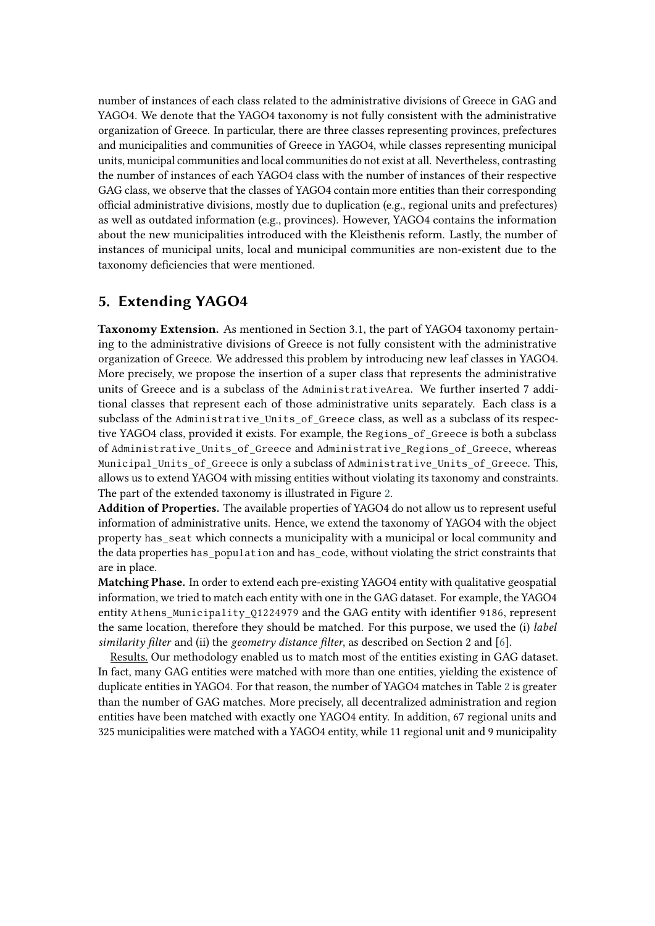number of instances of each class related to the administrative divisions of Greece in GAG and YAGO4. We denote that the YAGO4 taxonomy is not fully consistent with the administrative organization of Greece. In particular, there are three classes representing provinces, prefectures and municipalities and communities of Greece in YAGO4, while classes representing municipal units, municipal communities and local communities do not exist at all. Nevertheless, contrasting the number of instances of each YAGO4 class with the number of instances of their respective GAG class, we observe that the classes of YAGO4 contain more entities than their corresponding official administrative divisions, mostly due to duplication (e.g., regional units and prefectures) as well as outdated information (e.g., provinces). However, YAGO4 contains the information about the new municipalities introduced with the Kleisthenis reform. Lastly, the number of instances of municipal units, local and municipal communities are non-existent due to the taxonomy deficiencies that were mentioned.

# **5. Extending YAGO4**

**Taxonomy Extension.** As mentioned in Section 3.1, the part of YAGO4 taxonomy pertaining to the administrative divisions of Greece is not fully consistent with the administrative organization of Greece. We addressed this problem by introducing new leaf classes in YAGO4. More precisely, we propose the insertion of a super class that represents the administrative units of Greece and is a subclass of the AdministrativeArea. We further inserted 7 additional classes that represent each of those administrative units separately. Each class is a subclass of the Administrative Units of Greece class, as well as a subclass of its respective YAGO4 class, provided it exists. For example, the Regions\_of\_Greece is both a subclass of Administrative Units of Greece and Administrative Regions of Greece, whereas Municipal\_Units\_of\_Greece is only a subclass of Administrative\_Units\_of\_Greece. This, allows us to extend YAGO4 with missing entities without violating its taxonomy and constraints. The part of the extended taxonomy is illustrated in Figure [2.](#page-5-0)

**Addition of Properties.** The available properties of YAGO4 do not allow us to represent useful information of administrative units. Hence, we extend the taxonomy of YAGO4 with the object property has\_seat which connects a municipality with a municipal or local community and the data properties has\_population and has\_code, without violating the strict constraints that are in place.

**Matching Phase.** In order to extend each pre-existing YAGO4 entity with qualitative geospatial information, we tried to match each entity with one in the GAG dataset. For example, the YAGO4 entity Athens Municipality 01224979 and the GAG entity with identifier 9186, represent the same location, therefore they should be matched. For this purpose, we used the (i) *label similarity filter* and (ii) the *geometry distance filter*, as described on Section 2 and [\[6\]](#page-11-5).

Results. Our methodology enabled us to match most of the entities existing in GAG dataset. In fact, many GAG entities were matched with more than one entities, yielding the existence of duplicate entities in YAGO4. For that reason, the number of YAGO4 matches in Table [2](#page-8-0) is greater than the number of GAG matches. More precisely, all decentralized administration and region entities have been matched with exactly one YAGO4 entity. In addition, 67 regional units and 325 municipalities were matched with a YAGO4 entity, while 11 regional unit and 9 municipality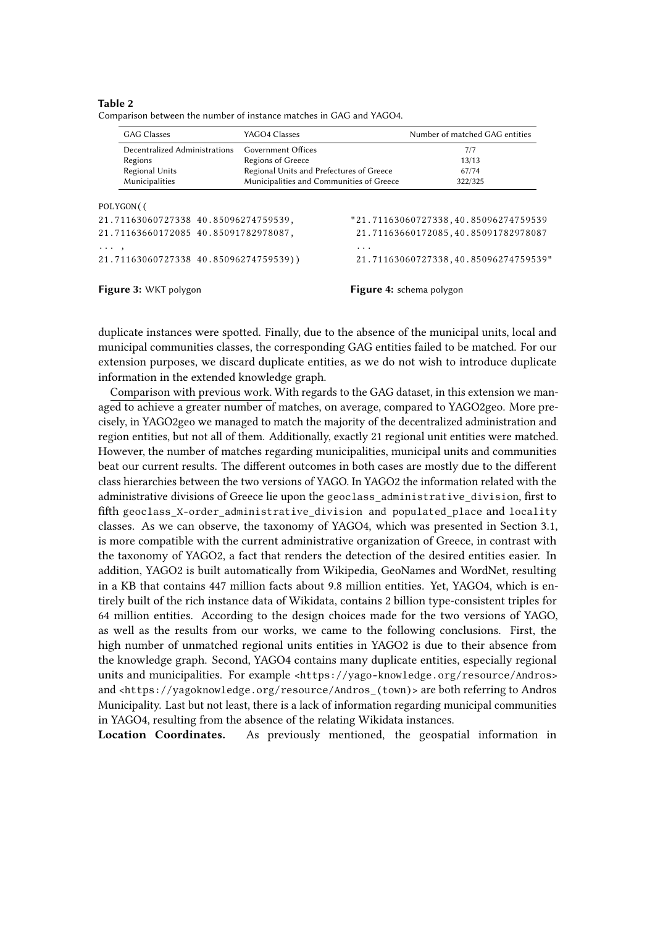### <span id="page-8-0"></span>**Table 2**

| Comparison between the number of instance matches in GAG and YAGO4. |  |
|---------------------------------------------------------------------|--|
|---------------------------------------------------------------------|--|

<span id="page-8-1"></span>

|                                                                                          | <b>GAG Classes</b>            | YAGO4 Classes                            |                                           | Number of matched GAG entities                                              |  |  |
|------------------------------------------------------------------------------------------|-------------------------------|------------------------------------------|-------------------------------------------|-----------------------------------------------------------------------------|--|--|
|                                                                                          | Decentralized Administrations | Government Offices                       |                                           | 7/7                                                                         |  |  |
|                                                                                          | Regions                       | <b>Regions of Greece</b>                 |                                           | 13/13                                                                       |  |  |
|                                                                                          | Regional Units                | Regional Units and Prefectures of Greece |                                           | 67/74                                                                       |  |  |
|                                                                                          | Municipalities                | Municipalities and Communities of Greece |                                           | 322/325                                                                     |  |  |
| POLYGON(<br>21.71163060727338 40.85096274759539,<br>21.71163660172085 40.85091782978087, |                               |                                          |                                           | "21.71163060727338,40.85096274759539<br>21.71163660172085,40.85091782978087 |  |  |
| $\cdots$ ,<br>21.71163060727338 40.85096274759539))                                      |                               |                                          | .<br>21.71163060727338,40.85096274759539" |                                                                             |  |  |
|                                                                                          | Figure 3: WKT polygon         |                                          |                                           | Figure 4: schema polygon                                                    |  |  |

duplicate instances were spotted. Finally, due to the absence of the municipal units, local and municipal communities classes, the corresponding GAG entities failed to be matched. For our extension purposes, we discard duplicate entities, as we do not wish to introduce duplicate information in the extended knowledge graph.

Comparison with previous work. With regards to the GAG dataset, in this extension we managed to achieve a greater number of matches, on average, compared to YAGO2geo. More precisely, in YAGO2geo we managed to match the majority of the decentralized administration and region entities, but not all of them. Additionally, exactly 21 regional unit entities were matched. However, the number of matches regarding municipalities, municipal units and communities beat our current results. The different outcomes in both cases are mostly due to the different class hierarchies between the two versions of YAGO. In YAGO2 the information related with the administrative divisions of Greece lie upon the geoclass\_administrative\_division, first to fifth geoclass\_X-order\_administrative\_division and populated\_place and locality classes. As we can observe, the taxonomy of YAGO4, which was presented in Section 3.1, is more compatible with the current administrative organization of Greece, in contrast with the taxonomy of YAGO2, a fact that renders the detection of the desired entities easier. In addition, YAGO2 is built automatically from Wikipedia, GeoNames and WordNet, resulting in a KB that contains 447 million facts about 9.8 million entities. Yet, YAGO4, which is entirely built of the rich instance data of Wikidata, contains 2 billion type-consistent triples for 64 million entities. According to the design choices made for the two versions of YAGO, as well as the results from our works, we came to the following conclusions. First, the high number of unmatched regional units entities in YAGO2 is due to their absence from the knowledge graph. Second, YAGO4 contains many duplicate entities, especially regional units and municipalities. For example <https://yago-knowledge.org/resource/Andros> and <https://yagoknowledge.org/resource/Andros (town)> are both referring to Andros Municipality. Last but not least, there is a lack of information regarding municipal communities in YAGO4, resulting from the absence of the relating Wikidata instances.

**Location Coordinates.** As previously mentioned, the geospatial information in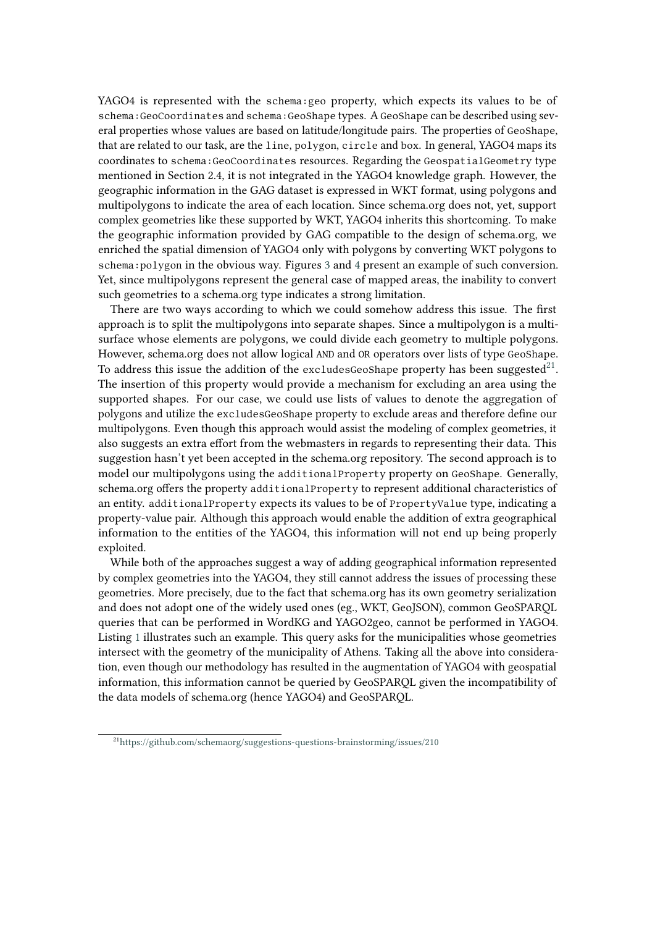YAGO4 is represented with the schema:geo property, which expects its values to be of schema:GeoCoordinates and schema:GeoShape types. A GeoShape can be described using several properties whose values are based on latitude/longitude pairs. The properties of GeoShape, that are related to our task, are the line, polygon, circle and box. In general, YAGO4 maps its coordinates to schema:GeoCoordinates resources. Regarding the GeospatialGeometry type mentioned in Section 2.4, it is not integrated in the YAGO4 knowledge graph. However, the geographic information in the GAG dataset is expressed in WKT format, using polygons and multipolygons to indicate the area of each location. Since schema.org does not, yet, support complex geometries like these supported by WKT, YAGO4 inherits this shortcoming. To make the geographic information provided by GAG compatible to the design of schema.org, we enriched the spatial dimension of YAGO4 only with polygons by converting WKT polygons to schema:polygon in the obvious way. Figures [3](#page-8-1) and [4](#page-8-1) present an example of such conversion. Yet, since multipolygons represent the general case of mapped areas, the inability to convert such geometries to a schema.org type indicates a strong limitation.

There are two ways according to which we could somehow address this issue. The first approach is to split the multipolygons into separate shapes. Since a multipolygon is a multisurface whose elements are polygons, we could divide each geometry to multiple polygons. However, schema.org does not allow logical AND and OR operators over lists of type GeoShape. To address this issue the addition of the excludesGeoShape property has been suggested $\rm ^{21}$  $\rm ^{21}$  $\rm ^{21}$ . The insertion of this property would provide a mechanism for excluding an area using the supported shapes. For our case, we could use lists of values to denote the aggregation of polygons and utilize the excludesGeoShape property to exclude areas and therefore define our multipolygons. Even though this approach would assist the modeling of complex geometries, it also suggests an extra effort from the webmasters in regards to representing their data. This suggestion hasn't yet been accepted in the schema.org repository. The second approach is to model our multipolygons using the additionalProperty property on GeoShape. Generally, schema.org offers the property additionalProperty to represent additional characteristics of an entity. additionalProperty expects its values to be of PropertyValue type, indicating a property-value pair. Although this approach would enable the addition of extra geographical information to the entities of the YAGO4, this information will not end up being properly exploited.

While both of the approaches suggest a way of adding geographical information represented by complex geometries into the YAGO4, they still cannot address the issues of processing these geometries. More precisely, due to the fact that schema.org has its own geometry serialization and does not adopt one of the widely used ones (eg., WKT, GeoJSON), common GeoSPARQL queries that can be performed in WordKG and YAGO2geo, cannot be performed in YAGO4. Listing [1](#page-10-0) illustrates such an example. This query asks for the municipalities whose geometries intersect with the geometry of the municipality of Athens. Taking all the above into consideration, even though our methodology has resulted in the augmentation of YAGO4 with geospatial information, this information cannot be queried by GeoSPARQL given the incompatibility of the data models of schema.org (hence YAGO4) and GeoSPARQL.

<span id="page-9-0"></span><sup>21</sup><https://github.com/schemaorg/suggestions-questions-brainstorming/issues/210>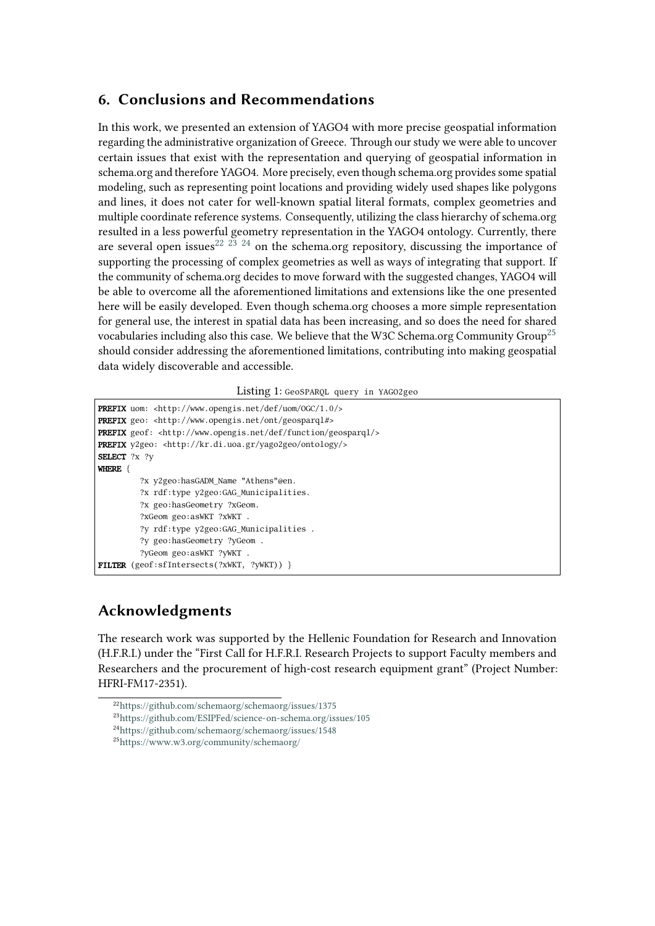# **6. Conclusions and Recommendations**

In this work, we presented an extension of YAGO4 with more precise geospatial information regarding the administrative organization of Greece. Through our study we were able to uncover certain issues that exist with the representation and querying of geospatial information in schema.org and therefore YAGO4. More precisely, even though schema.org provides some spatial modeling, such as representing point locations and providing widely used shapes like polygons and lines, it does not cater for well-known spatial literal formats, complex geometries and multiple coordinate reference systems. Consequently, utilizing the class hierarchy of schema.org resulted in a less powerful geometry representation in the YAGO4 ontology. Currently, there are several open issues<sup>[22](#page-10-1) [23](#page-10-2)</sup> <sup>[24](#page-10-3)</sup> on the schema.org repository, discussing the importance of supporting the processing of complex geometries as well as ways of integrating that support. If the community of schema.org decides to move forward with the suggested changes, YAGO4 will be able to overcome all the aforementioned limitations and extensions like the one presented here will be easily developed. Even though schema.org chooses a more simple representation for general use, the interest in spatial data has been increasing, and so does the need for shared vocabularies including also this case. We believe that the W3C Schema.org Community Group<sup>[25](#page-10-4)</sup> should consider addressing the aforementioned limitations, contributing into making geospatial data widely discoverable and accessible.

### Listing 1: GeoSPARQL query in YAGO2geo

<span id="page-10-0"></span>PREFIX uom: <http://www.opengis.net/def/uom/OGC/1.0/> PREFIX geo: <http://www.opengis.net/ont/geosparql#> PREFIX geof: <http://www.opengis.net/def/function/geosparql/> PREFIX y2geo: <http://kr.di.uoa.gr/yago2geo/ontology/> SELECT ?x ?v WHERE { ?x y2geo:hasGADM\_Name "Athens"@en. ?x rdf:type y2geo:GAG\_Municipalities. ?x geo:hasGeometry ?xGeom. ?xGeom geo:asWKT ?xWKT . ?y rdf:type y2geo:GAG\_Municipalities . ?y geo:hasGeometry ?yGeom . ?yGeom geo:asWKT ?yWKT . FILTER (geof:sfIntersects(?xWKT, ?yWKT)) }

# **Acknowledgments**

The research work was supported by the Hellenic Foundation for Research and Innovation (H.F.R.I.) under the "First Call for H.F.R.I. Research Projects to support Faculty members and Researchers and the procurement of high-cost research equipment grant" (Project Number: HFRI-FM17-2351).

<span id="page-10-1"></span><sup>22</sup><https://github.com/schemaorg/schemaorg/issues/1375>

<span id="page-10-2"></span><sup>23</sup><https://github.com/ESIPFed/science-on-schema.org/issues/105>

<span id="page-10-3"></span><sup>24</sup><https://github.com/schemaorg/schemaorg/issues/1548>

<span id="page-10-4"></span><sup>25</sup><https://www.w3.org/community/schemaorg/>